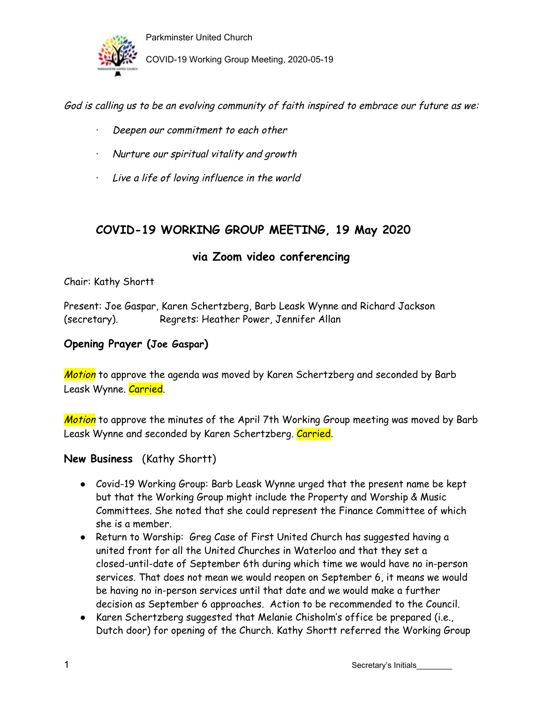

Parkminster United Church COVID-19 Working Group Meeting, 2020-05-19

God is calling us to be an evolving community of faith inspired to embrace our future as we:

- Deepen our commitment to each other
- · Nurture our spiritual vitality and growth
- · Live <sup>a</sup> life of loving influence in the world

## **COVID-19 WORKING GROUP MEETING, 19 May 2020**

## **via Zoom video conferencing**

Chair: Kathy Shortt

Present: Joe Gaspar, Karen Schertzberg, Barb Leask Wynne and Richard Jackson (secretary). Regrets: Heather Power, Jennifer Allan

### **Opening Prayer (Joe Gaspar)**

Motion to approve the agenda was moved by Karen Schertzberg and seconded by Barb Leask Wynne. Carried.

Motion to approve the minutes of the April 7th Working Group meeting was moved by Barb Leask Wynne and seconded by Karen Schertzberg. Carried.

### **New Business** (Kathy Shortt)

- Covid-19 Working Group: Barb Leask Wynne urged that the present name be kept but that the Working Group might include the Property and Worship & Music Committees. She noted that she could represent the Finance Committee of which she is a member.
- Return to Worship: Greg Case of First United Church has suggested having a united front for all the United Churches in Waterloo and that they set a closed-until-date of September 6th during which time we would have no in-person services. That does not mean we would reopen on September 6, it means we would be having no in-person services until that date and we would make a further decision as September 6 approaches. Action to be recommended to the Council.
- Karen Schertzberg suggested that Melanie Chisholm's office be prepared (i.e., Dutch door) for opening of the Church. Kathy Shortt referred the Working Group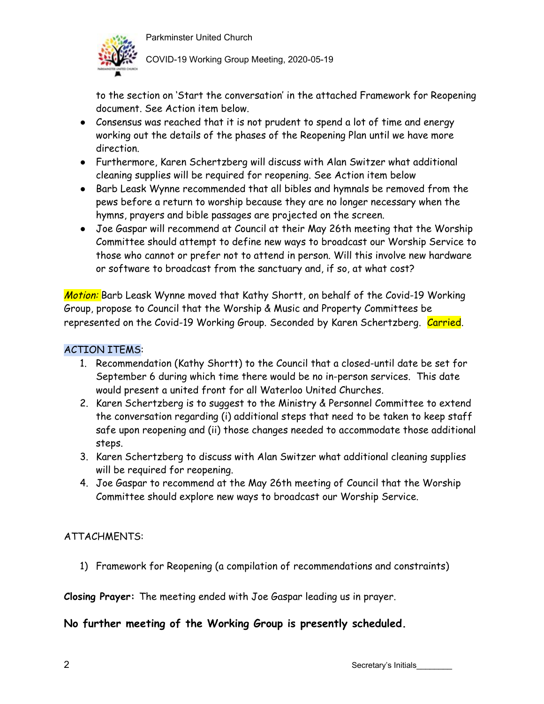

COVID-19 Working Group Meeting, 2020-05-19

to the section on 'Start the conversation' in the attached Framework for Reopening document. See Action item below.

- Consensus was reached that it is not prudent to spend a lot of time and energy working out the details of the phases of the Reopening Plan until we have more direction.
- Furthermore, Karen Schertzberg will discuss with Alan Switzer what additional cleaning supplies will be required for reopening. See Action item below
- Barb Leask Wynne recommended that all bibles and hymnals be removed from the pews before a return to worship because they are no longer necessary when the hymns, prayers and bible passages are projected on the screen.
- Joe Gaspar will recommend at Council at their May 26th meeting that the Worship Committee should attempt to define new ways to broadcast our Worship Service to those who cannot or prefer not to attend in person. Will this involve new hardware or software to broadcast from the sanctuary and, if so, at what cost?

Motion: Barb Leask Wynne moved that Kathy Shortt, on behalf of the Covid-19 Working Group, propose to Council that the Worship & Music and Property Committees be represented on the Covid-19 Working Group. Seconded by Karen Schertzberg. Carried.

## ACTION ITEMS:

- 1. Recommendation (Kathy Shortt) to the Council that a closed-until date be set for September 6 during which time there would be no in-person services. This date would present a united front for all Waterloo United Churches.
- 2. Karen Schertzberg is to suggest to the Ministry & Personnel Committee to extend the conversation regarding (i) additional steps that need to be taken to keep staff safe upon reopening and (ii) those changes needed to accommodate those additional steps.
- 3. Karen Schertzberg to discuss with Alan Switzer what additional cleaning supplies will be required for reopening.
- 4. Joe Gaspar to recommend at the May 26th meeting of Council that the Worship Committee should explore new ways to broadcast our Worship Service.

## ATTACHMENTS:

1) Framework for Reopening (a compilation of recommendations and constraints)

**Closing Prayer:** The meeting ended with Joe Gaspar leading us in prayer.

## **No further meeting of the Working Group is presently scheduled.**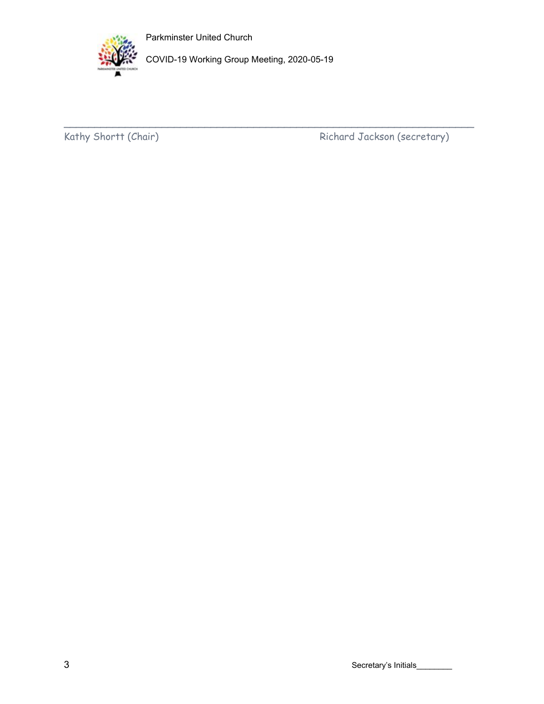



COVID-19 Working Group Meeting, 2020-05-19

 $\overline{\phantom{a}}$  ,  $\overline{\phantom{a}}$  ,  $\overline{\phantom{a}}$  ,  $\overline{\phantom{a}}$  ,  $\overline{\phantom{a}}$  ,  $\overline{\phantom{a}}$  ,  $\overline{\phantom{a}}$  ,  $\overline{\phantom{a}}$  ,  $\overline{\phantom{a}}$  ,  $\overline{\phantom{a}}$  ,  $\overline{\phantom{a}}$  ,  $\overline{\phantom{a}}$  ,  $\overline{\phantom{a}}$  ,  $\overline{\phantom{a}}$  ,  $\overline{\phantom{a}}$  ,  $\overline{\phantom{a}}$ 

Kathy Shortt (Chair) Richard Jackson (secretary)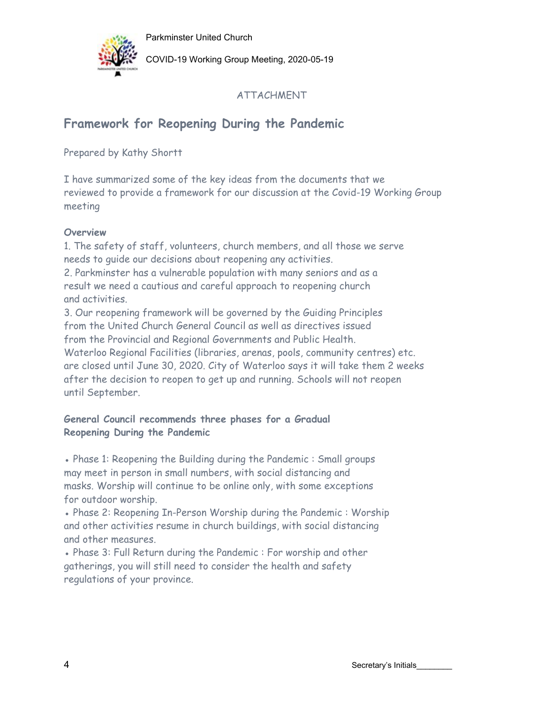

COVID-19 Working Group Meeting, 2020-05-19

## ATTACHMENT

# **Framework for Reopening During the Pandemic**

Prepared by Kathy Shortt

I have summarized some of the key ideas from the documents that we reviewed to provide a framework for our discussion at the Covid-19 Working Group meeting

### **Overview**

1. The safety of staff, volunteers, church members, and all those we serve needs to guide our decisions about reopening any activities.

2. Parkminster has a vulnerable population with many seniors and as a result we need a cautious and careful approach to reopening church and activities.

3. Our reopening framework will be governed by the Guiding Principles from the United Church General Council as well as directives issued from the Provincial and Regional Governments and Public Health. Waterloo Regional Facilities (libraries, arenas, pools, community centres) etc. are closed until June 30, 2020. City of Waterloo says it will take them 2 weeks after the decision to reopen to get up and running. Schools will not reopen until September.

### **General Council recommends three phases for a Gradual Reopening During the Pandemic**

• Phase 1: Reopening the Building during the Pandemic : Small groups may meet in person in small numbers, with social distancing and masks. Worship will continue to be online only, with some exceptions for outdoor worship.

• Phase 2: Reopening In-Person Worship during the Pandemic : Worship and other activities resume in church buildings, with social distancing and other measures.

• Phase 3: Full Return during the Pandemic : For worship and other gatherings, you will still need to consider the health and safety regulations of your province.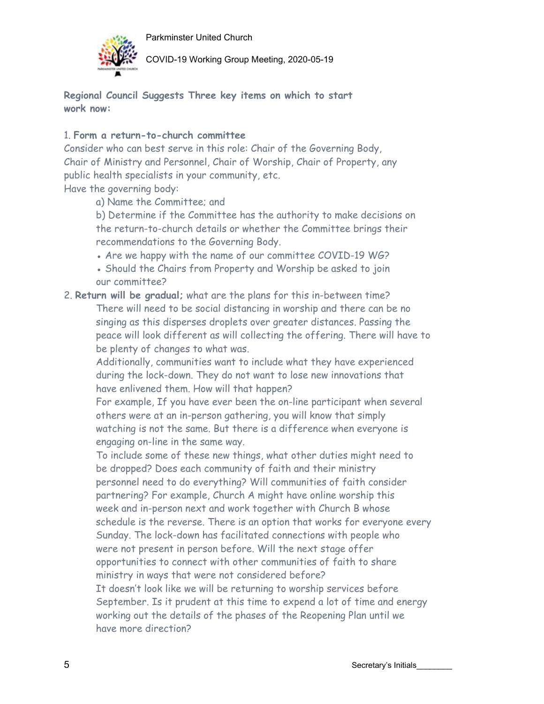

COVID-19 Working Group Meeting, 2020-05-19

**Regional Council Suggests Three key items on which to start work now:**

#### 1. **Form a return-to-church committee**

Consider who can best serve in this role: Chair of the Governing Body, Chair of Ministry and Personnel, Chair of Worship, Chair of Property, any public health specialists in your community, etc.

Have the governing body:

a) Name the Committee; and

b) Determine if the Committee has the authority to make decisions on the return-to-church details or whether the Committee brings their recommendations to the Governing Body.

- Are we happy with the name of our committee COVID-19 WG?
- Should the Chairs from Property and Worship be asked to join our committee?
- 2. **Return will be gradual;** what are the plans for this in-between time? There will need to be social distancing in worship and there can be no singing as this disperses droplets over greater distances. Passing the peace will look different as will collecting the offering. There will have to be plenty of changes to what was.

Additionally, communities want to include what they have experienced during the lock-down. They do not want to lose new innovations that have enlivened them. How will that happen?

For example, If you have ever been the on-line participant when several others were at an in-person gathering, you will know that simply watching is not the same. But there is a difference when everyone is engaging on-line in the same way.

To include some of these new things, what other duties might need to be dropped? Does each community of faith and their ministry personnel need to do everything? Will communities of faith consider partnering? For example, Church A might have online worship this week and in-person next and work together with Church B whose schedule is the reverse. There is an option that works for everyone every Sunday. The lock-down has facilitated connections with people who were not present in person before. Will the next stage offer opportunities to connect with other communities of faith to share ministry in ways that were not considered before? It doesn't look like we will be returning to worship services before September. Is it prudent at this time to expend a lot of time and energy working out the details of the phases of the Reopening Plan until we have more direction?